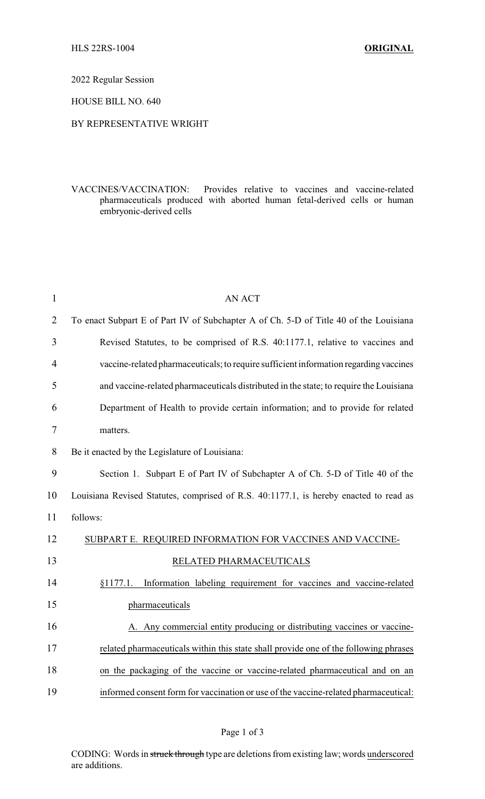2022 Regular Session

HOUSE BILL NO. 640

## BY REPRESENTATIVE WRIGHT

VACCINES/VACCINATION: Provides relative to vaccines and vaccine-related pharmaceuticals produced with aborted human fetal-derived cells or human embryonic-derived cells

| $\mathbf{1}$   | <b>AN ACT</b>                                                                          |  |
|----------------|----------------------------------------------------------------------------------------|--|
| $\overline{2}$ | To enact Subpart E of Part IV of Subchapter A of Ch. 5-D of Title 40 of the Louisiana  |  |
| 3              | Revised Statutes, to be comprised of R.S. 40:1177.1, relative to vaccines and          |  |
| 4              | vaccine-related pharmaceuticals; to require sufficient information regarding vaccines  |  |
| 5              | and vaccine-related pharmaceuticals distributed in the state; to require the Louisiana |  |
| 6              | Department of Health to provide certain information; and to provide for related        |  |
| 7              | matters.                                                                               |  |
| 8              | Be it enacted by the Legislature of Louisiana:                                         |  |
| 9              | Section 1. Subpart E of Part IV of Subchapter A of Ch. 5-D of Title 40 of the          |  |
| 10             | Louisiana Revised Statutes, comprised of R.S. 40:1177.1, is hereby enacted to read as  |  |
| 11             | follows:                                                                               |  |
| 12             | SUBPART E. REQUIRED INFORMATION FOR VACCINES AND VACCINE-                              |  |
| 13             | RELATED PHARMACEUTICALS                                                                |  |
| 14             | Information labeling requirement for vaccines and vaccine-related<br>§1177.1.          |  |
| 15             | pharmaceuticals                                                                        |  |
| 16             | A. Any commercial entity producing or distributing vaccines or vaccine-                |  |
| 17             | related pharmaceuticals within this state shall provide one of the following phrases   |  |
| 18             | on the packaging of the vaccine or vaccine-related pharmaceutical and on an            |  |
| 19             | informed consent form for vaccination or use of the vaccine-related pharmaceutical:    |  |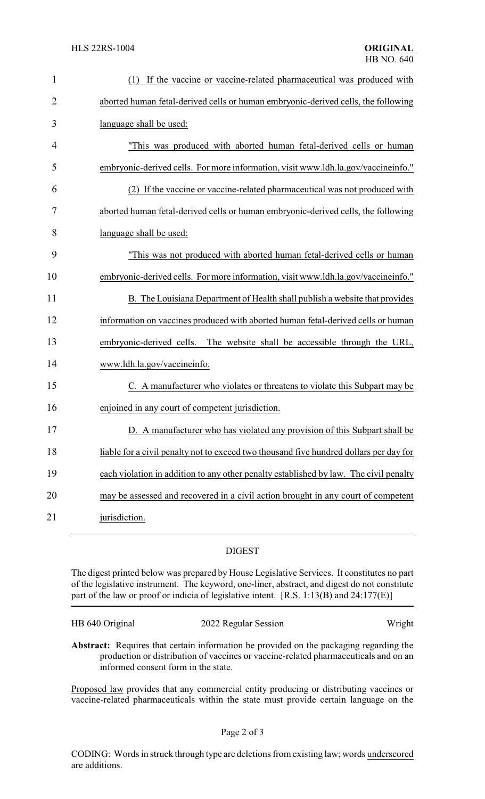| $\mathbf{1}$   | (1) If the vaccine or vaccine-related pharmaceutical was produced with                 |  |  |
|----------------|----------------------------------------------------------------------------------------|--|--|
| $\overline{2}$ | aborted human fetal-derived cells or human embryonic-derived cells, the following      |  |  |
| 3              | language shall be used:                                                                |  |  |
| 4              | "This was produced with aborted human fetal-derived cells or human                     |  |  |
| 5              | embryonic-derived cells. For more information, visit www.ldh.la.gov/vaccineinfo."      |  |  |
| 6              | (2) If the vaccine or vaccine-related pharmaceutical was not produced with             |  |  |
| 7              | aborted human fetal-derived cells or human embryonic-derived cells, the following      |  |  |
| 8              | language shall be used:                                                                |  |  |
| 9              | "This was not produced with aborted human fetal-derived cells or human                 |  |  |
| 10             | embryonic-derived cells. For more information, visit www.ldh.la.gov/vaccineinfo."      |  |  |
| 11             | B. The Louisiana Department of Health shall publish a website that provides            |  |  |
| 12             | information on vaccines produced with aborted human fetal-derived cells or human       |  |  |
| 13             | embryonic-derived cells. The website shall be accessible through the URL,              |  |  |
| 14             | www.ldh.la.gov/vaccineinfo.                                                            |  |  |
| 15             | C. A manufacturer who violates or threatens to violate this Subpart may be             |  |  |
| 16             | enjoined in any court of competent jurisdiction.                                       |  |  |
| 17             | D. A manufacturer who has violated any provision of this Subpart shall be              |  |  |
| 18             | liable for a civil penalty not to exceed two thousand five hundred dollars per day for |  |  |
| 19             | each violation in addition to any other penalty established by law. The civil penalty  |  |  |
| 20             | may be assessed and recovered in a civil action brought in any court of competent      |  |  |
| 21             | jurisdiction.                                                                          |  |  |

## DIGEST

The digest printed below was prepared by House Legislative Services. It constitutes no part of the legislative instrument. The keyword, one-liner, abstract, and digest do not constitute part of the law or proof or indicia of legislative intent. [R.S. 1:13(B) and 24:177(E)]

| HB 640 Original | 2022 Regular Session | Wright |
|-----------------|----------------------|--------|
|                 |                      |        |

**Abstract:** Requires that certain information be provided on the packaging regarding the production or distribution of vaccines or vaccine-related pharmaceuticals and on an informed consent form in the state.

Proposed law provides that any commercial entity producing or distributing vaccines or vaccine-related pharmaceuticals within the state must provide certain language on the